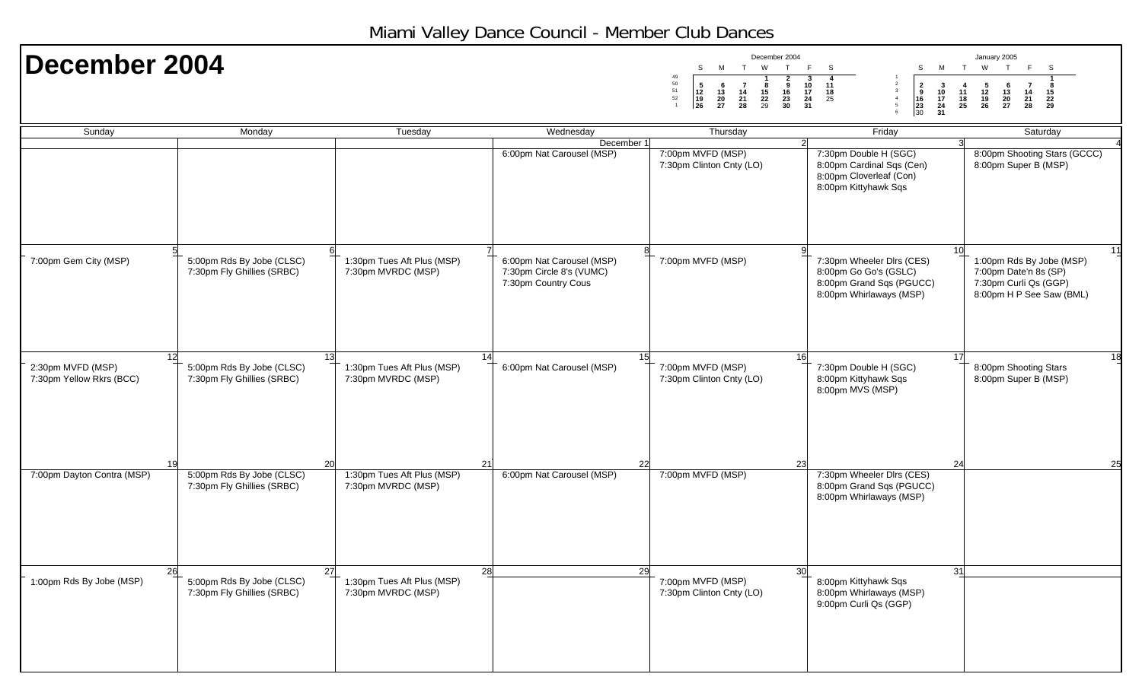## Miami Valley Dance Council - Member Club Dances

| December 2004                                 |                                                         |                                                  |                                                                              | December 2004<br>S<br>M<br>T<br>W<br>T<br>50<br>$\begin{array}{c} 5 \\ 12 \\ 19 \\ 26 \end{array}$<br>9<br>- 6<br>$\overline{7}$<br>- 8<br>$\begin{array}{c} 51 \\ 52 \\ 1 \end{array}$<br>$\frac{16}{23}$<br>30<br>$\frac{13}{20}$<br>$\begin{array}{c} 14 \\ 21 \\ 28 \end{array}$<br>$\frac{15}{22}$ | F<br>M<br>S<br>S<br>$\frac{10}{17}$<br>$\frac{24}{31}$<br>11<br>$\begin{array}{c} 2 \\ 9 \\ 16 \\ 23 \\ 30 \end{array}$<br>$\frac{3}{10}$<br>$\frac{17}{24}$<br>$\frac{24}{31}$<br>$_{\rm 3}$<br>$\frac{18}{25}$<br>$\overline{4}$<br>5 | January 2005<br>W<br>T<br>F.<br>T<br>- S<br>$\frac{5}{12}$<br>$\frac{19}{26}$<br>-7<br>4<br>$\begin{array}{c} 6 \\ 13 \\ 20 \\ 27 \end{array}$<br>8<br>$\frac{11}{18}$<br>25<br>$\frac{14}{21}$<br>21<br>28<br>$\frac{15}{22}$ |
|-----------------------------------------------|---------------------------------------------------------|--------------------------------------------------|------------------------------------------------------------------------------|---------------------------------------------------------------------------------------------------------------------------------------------------------------------------------------------------------------------------------------------------------------------------------------------------------|-----------------------------------------------------------------------------------------------------------------------------------------------------------------------------------------------------------------------------------------|--------------------------------------------------------------------------------------------------------------------------------------------------------------------------------------------------------------------------------|
| Sunday                                        | Monday                                                  | Tuesday                                          | Wednesday                                                                    | Thursday                                                                                                                                                                                                                                                                                                | Friday                                                                                                                                                                                                                                  | Saturday                                                                                                                                                                                                                       |
|                                               |                                                         |                                                  | December 1<br>6:00pm Nat Carousel (MSP)                                      | 7:00pm MVFD (MSP)<br>7:30pm Clinton Cnty (LO)                                                                                                                                                                                                                                                           | 7:30pm Double H (SGC)<br>8:00pm Cardinal Sqs (Cen)<br>8:00pm Cloverleaf (Con)<br>8:00pm Kittyhawk Sqs                                                                                                                                   | 8:00pm Shooting Stars (GCCC)<br>8:00pm Super B (MSP)                                                                                                                                                                           |
|                                               | 5 <sup>1</sup><br>5:00pm Rds By Jobe (CLSC)             |                                                  | ଃ                                                                            |                                                                                                                                                                                                                                                                                                         | 10                                                                                                                                                                                                                                      | 11                                                                                                                                                                                                                             |
| 7:00pm Gem City (MSP)                         | 7:30pm Fly Ghillies (SRBC)                              | 1:30pm Tues Aft Plus (MSP)<br>7:30pm MVRDC (MSP) | 6:00pm Nat Carousel (MSP)<br>7:30pm Circle 8's (VUMC)<br>7:30pm Country Cous | 7:00pm MVFD (MSP)                                                                                                                                                                                                                                                                                       | 7:30pm Wheeler Dlrs (CES)<br>8:00pm Go Go's (GSLC)<br>8:00pm Grand Sqs (PGUCC)<br>8:00pm Whirlaways (MSP)                                                                                                                               | 1:00pm Rds By Jobe (MSP)<br>7:00pm Date'n 8s (SP)<br>7:30pm Curli Qs (GGP)<br>8:00pm H P See Saw (BML)                                                                                                                         |
| 12                                            |                                                         | 13                                               | 15<br>14                                                                     | 16                                                                                                                                                                                                                                                                                                      | 17                                                                                                                                                                                                                                      | 18                                                                                                                                                                                                                             |
| 2:30pm MVFD (MSP)<br>7:30pm Yellow Rkrs (BCC) | 5:00pm Rds By Jobe (CLSC)<br>7:30pm Fly Ghillies (SRBC) | 1:30pm Tues Aft Plus (MSP)<br>7:30pm MVRDC (MSP) | 6:00pm Nat Carousel (MSP)                                                    | 7:00pm MVFD (MSP)<br>7:30pm Clinton Cnty (LO)                                                                                                                                                                                                                                                           | 7:30pm Double H (SGC)<br>8:00pm Kittyhawk Sqs<br>8:00pm MVS (MSP)                                                                                                                                                                       | 8:00pm Shooting Stars<br>8:00pm Super B (MSP)                                                                                                                                                                                  |
| 19                                            |                                                         | 20                                               | 22<br>21                                                                     | 23                                                                                                                                                                                                                                                                                                      | 24                                                                                                                                                                                                                                      | 25                                                                                                                                                                                                                             |
| 7:00pm Dayton Contra (MSP)                    | 5:00pm Rds By Jobe (CLSC)<br>7:30pm Fly Ghillies (SRBC) | 1:30pm Tues Aft Plus (MSP)<br>7:30pm MVRDC (MSP) | 6:00pm Nat Carousel (MSP)                                                    | 7:00pm MVFD (MSP)                                                                                                                                                                                                                                                                                       | 7:30pm Wheeler Dlrs (CES)<br>8:00pm Grand Sqs (PGUCC)<br>8:00pm Whirlaways (MSP)                                                                                                                                                        |                                                                                                                                                                                                                                |
| 26                                            |                                                         | 27                                               | 28<br>29                                                                     | 30 <sup>l</sup>                                                                                                                                                                                                                                                                                         | 31                                                                                                                                                                                                                                      |                                                                                                                                                                                                                                |
| 1:00pm Rds By Jobe (MSP)                      | 5:00pm Rds By Jobe (CLSC)<br>7:30pm Fly Ghillies (SRBC) | 1:30pm Tues Aft Plus (MSP)<br>7:30pm MVRDC (MSP) |                                                                              | 7:00pm MVFD (MSP)<br>7:30pm Clinton Cnty (LO)                                                                                                                                                                                                                                                           | 8:00pm Kittyhawk Sqs<br>8:00pm Whirlaways (MSP)<br>9:00pm Curli Qs (GGP)                                                                                                                                                                |                                                                                                                                                                                                                                |